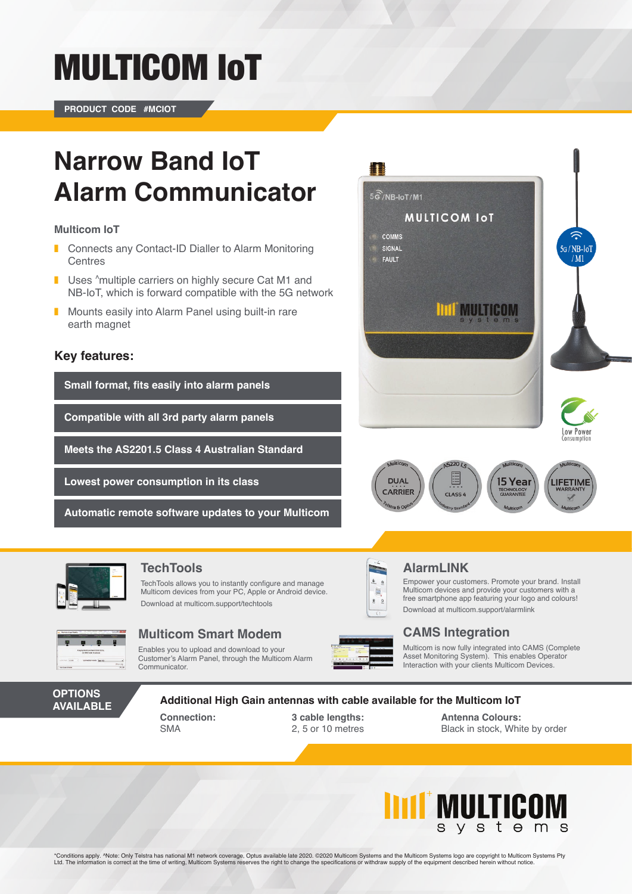# MULTICOM IoT

**PRODUCT CODE #MCIOT**

## **Narrow Band IoT Alarm Communicator**

#### **Multicom IoT**

- ❚ Connects any Contact-ID Dialler to Alarm Monitoring **Centres**
- Uses ^multiple carriers on highly secure Cat M1 and NB-IoT, which is forward compatible with the 5G network
- Mounts easily into Alarm Panel using built-in rare earth magnet

### **Key features:**

**Small format, fits easily into alarm panels**

**Compatible with all 3rd party alarm panels**

**Meets the AS2201.5 Class 4 Australian Standard**

**Lowest power consumption in its class**

**Automatic remote software updates to your Multicom**







### **TechTools AlarmLINK**

TechTools allows you to instantly configure and manage Multicom devices from your PC, Apple or Android device. Download at multicom.support/techtools



### **Multicom Smart Modem CAMS Integration**

Enables you to upload and download to your Customer's Alarm Panel, through the Multicom Alarm Communicator.



圖

Empower your customers. Promote your brand. Install Multicom devices and provide your customers with a free smartphone app featuring your logo and colours! Download at multicom.support/alarmlink

Multicom is now fully integrated into CAMS (Complete Asset Monitoring System). This enables Operator Interaction with your clients Multicom Devices.

#### **OPTIONS AVAILABLE**

#### **Additional High Gain antennas with cable available for the Multicom IoT**

**Connection:** SMA

**3 cable lengths:** 2, 5 or 10 metres

**Antenna Colours:** Black in stock, White by order



\*Conditions apply. ^Note: Only Telstra has national M1 network coverage, Optus available late 2020. ©2020 Multicom Systems and the Multicom Systems logo are copyright to Multicom Systems Pty Ltd. The information is correct at the time of writing, Multicom Systems reserves the right to change the specifications or withdraw supply of the equipment described herein without notice.